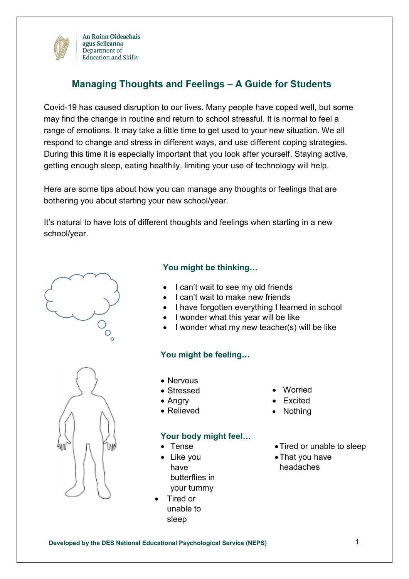

# **Managing Thoughts and Feelings – A Guide for Students**

Covid-19 has caused disruption to our lives. Many people have coped well, but some may find the change in routine and return to school stressful. It is normal to feel a range of emotions. It may take a little time to get used to your new situation. We all respond to change and stress in different ways, and use different coping strategies. During this time it is especially important that you look after yourself. Staying active, getting enough sleep, eating healthily, limiting your use of technology will help.

Here are some tips about how you can manage any thoughts or feelings that are bothering you about starting your new school/year.

It's natural to have lots of different thoughts and feelings when starting in a new school/year.



#### **You might be thinking…**

- I can't wait to see my old friends
- I can't wait to make new friends
- I have forgotten everything I learned in school
- I wonder what this year will be like
- I wonder what my new teacher(s) will be like

### **You might be feeling…**

- 
- Nervous
- Stressed
- Angry
- Relieved

#### **Your body might feel…**

- Tense
- Like you have butterflies in your tummy
- Tired or unable to sleep
- Worried
- Excited
- **Nothing**
- Tired or unable to sleep
- That you have headaches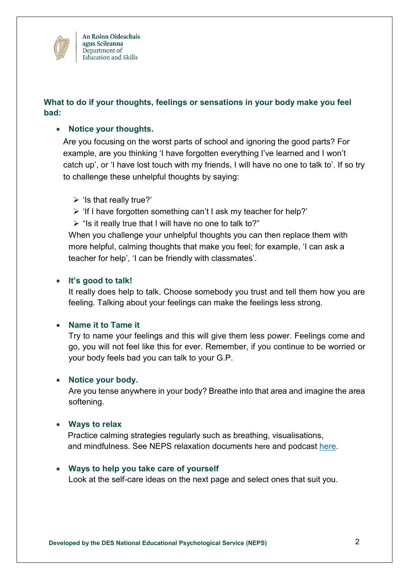

## **What to do if your thoughts, feelings or sensations in your body make you feel bad:**

### **Notice your thoughts.**

Are you focusing on the worst parts of school and ignoring the good parts? For example, are you thinking 'I have forgotten everything I've learned and I won't catch up', or 'I have lost touch with my friends, I will have no one to talk to'. If so try to challenge these unhelpful thoughts by saying:

- $\triangleright$  'Is that really true?'
- $\triangleright$  'If I have forgotten something can't I ask my teacher for help?'
- $\triangleright$  "Is it really true that I will have no one to talk to?"

When you challenge your unhelpful thoughts you can then replace them with more helpful, calming thoughts that make you feel; for example, 'I can ask a teacher for help', 'I can be friendly with classmates'.

### **It's good to talk!**

It really does help to talk. Choose somebody you trust and tell them how you are feeling. Talking about your feelings can make the feelings less strong.

### **Name it to Tame it**

Try to name your feelings and this will give them less power. Feelings come and go, you will not feel like this for ever. Remember, if you continue to be worried or your body feels bad you can talk to your G.P.

### **Notice your body.**

Are you tense anywhere in your body? Breathe into that area and imagine the area softening.

### **Ways to relax**

 Practice calming strategies regularly such as breathing, visualisations, and mindfulness. See NEPS relaxation documents [here](https://www.education.ie/en/Schools-Colleges/Services/National-Educational-Psychological-Service-NEPS-/covid-19.html) and podcast [here.](https://soundcloud.com/user-719669409/relaxation-techniques-30-03-2020)

### **Ways to help you take care of yourself**

Look at the self-care ideas on the next page and select ones that suit you.